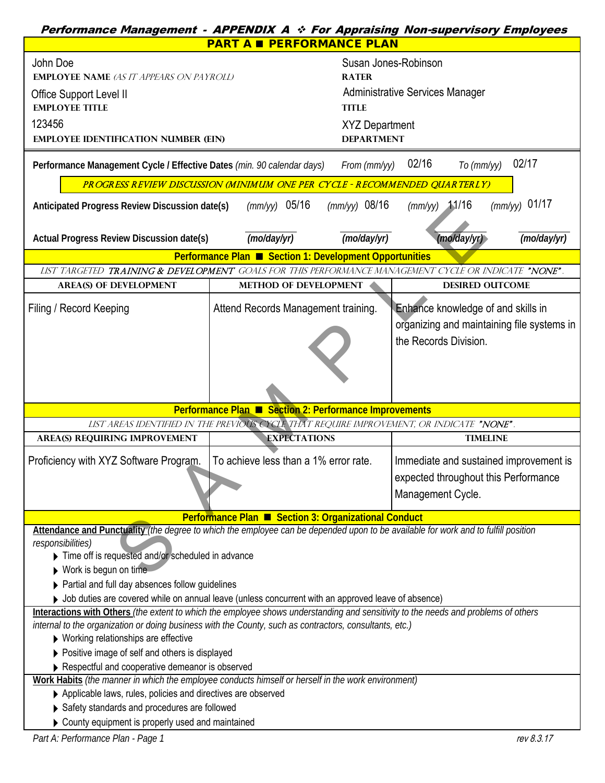|                                                                                                                                                                                                                                                                                                                                                                                                                                                                                                                                                                     |                                                                                                      | <i>Performance Management - APPENDIX A ☆ For Appraising Non-supervisory Employees</i>                                                 |  |  |  |
|---------------------------------------------------------------------------------------------------------------------------------------------------------------------------------------------------------------------------------------------------------------------------------------------------------------------------------------------------------------------------------------------------------------------------------------------------------------------------------------------------------------------------------------------------------------------|------------------------------------------------------------------------------------------------------|---------------------------------------------------------------------------------------------------------------------------------------|--|--|--|
|                                                                                                                                                                                                                                                                                                                                                                                                                                                                                                                                                                     | <b>PART A E PERFORMANCE PLAN</b>                                                                     |                                                                                                                                       |  |  |  |
| John Doe<br><b>EMPLOYEE NAME</b> (AS IT APPEARS ON PAYROLL)<br>Office Support Level II<br><b>EMPLOYEE TITLE</b><br>123456<br><b>EMPLOYEE IDENTIFICATION NUMBER (EIN)</b>                                                                                                                                                                                                                                                                                                                                                                                            |                                                                                                      | Susan Jones-Robinson<br><b>RATER</b><br>Administrative Services Manager<br><b>TITLE</b><br><b>XYZ Department</b><br><b>DEPARTMENT</b> |  |  |  |
|                                                                                                                                                                                                                                                                                                                                                                                                                                                                                                                                                                     |                                                                                                      |                                                                                                                                       |  |  |  |
| 02/17<br>02/16<br>From (mm/yy)<br>To (mm/yy)<br>Performance Management Cycle / Effective Dates (min. 90 calendar days)                                                                                                                                                                                                                                                                                                                                                                                                                                              |                                                                                                      |                                                                                                                                       |  |  |  |
|                                                                                                                                                                                                                                                                                                                                                                                                                                                                                                                                                                     | PROGRESS REVIEW DISCUSSION (MINIMUM ONE PER CYCLE - RECOMMENDED QUARTERLY)                           |                                                                                                                                       |  |  |  |
| Anticipated Progress Review Discussion date(s)                                                                                                                                                                                                                                                                                                                                                                                                                                                                                                                      | $(mm/yy)$ 05/16<br>$(mm/yy)$ 08/16                                                                   | $(mm/yy)$ 01/17<br>$(mm/yy)$ 11/16                                                                                                    |  |  |  |
| Actual Progress Review Discussion date(s)                                                                                                                                                                                                                                                                                                                                                                                                                                                                                                                           | (moday/yr)<br>(moday/yr)                                                                             | (mo/day/yr)<br>(moday/yr)                                                                                                             |  |  |  |
|                                                                                                                                                                                                                                                                                                                                                                                                                                                                                                                                                                     | Performance Plan ■ Section 1: Development Opportunities                                              |                                                                                                                                       |  |  |  |
|                                                                                                                                                                                                                                                                                                                                                                                                                                                                                                                                                                     |                                                                                                      | LIST TARGETED TRAINING & DEVELOPMENT GOALS FOR THIS PERFORMANCE MANAGEMENT CYCLE OR INDICATE "NONE".                                  |  |  |  |
| <b>AREA(S) OF DEVELOPMENT</b>                                                                                                                                                                                                                                                                                                                                                                                                                                                                                                                                       | METHOD OF DEVELOPMENT                                                                                | <b>DESIRED OUTCOME</b>                                                                                                                |  |  |  |
|                                                                                                                                                                                                                                                                                                                                                                                                                                                                                                                                                                     |                                                                                                      |                                                                                                                                       |  |  |  |
| Filing / Record Keeping                                                                                                                                                                                                                                                                                                                                                                                                                                                                                                                                             | Attend Records Management training.                                                                  | Enhance knowledge of and skills in<br>organizing and maintaining file systems in<br>the Records Division.                             |  |  |  |
|                                                                                                                                                                                                                                                                                                                                                                                                                                                                                                                                                                     |                                                                                                      |                                                                                                                                       |  |  |  |
|                                                                                                                                                                                                                                                                                                                                                                                                                                                                                                                                                                     | Performance Plan ■ Section 2: Performance Improvements                                               |                                                                                                                                       |  |  |  |
|                                                                                                                                                                                                                                                                                                                                                                                                                                                                                                                                                                     | LIST AREAS IDENTIFIED IN THE PREVIOUS CYCLE THAT REQUIRE IMPROVEMENT, OR INDICATE "NONE".            |                                                                                                                                       |  |  |  |
| <b>AREA(S) REQUIRING IMPROVEMENT</b>                                                                                                                                                                                                                                                                                                                                                                                                                                                                                                                                | <b>EXPECTATIONS</b>                                                                                  | <b>TIMELINE</b>                                                                                                                       |  |  |  |
| Proficiency with XYZ Software Program.                                                                                                                                                                                                                                                                                                                                                                                                                                                                                                                              | To achieve less than a 1% error rate.                                                                | Immediate and sustained improvement is<br>expected throughout this Performance<br>Management Cycle.                                   |  |  |  |
|                                                                                                                                                                                                                                                                                                                                                                                                                                                                                                                                                                     | <b>Performance Plan ■ Section 3: Organizational Conduct</b>                                          |                                                                                                                                       |  |  |  |
| Attendance and Punctuality (the degree to which the employee can be depended upon to be available for work and to fulfill position<br>responsibilities)<br>Time off is requested and/or scheduled in advance<br>$\triangleright$ Work is begun on time<br>▶ Partial and full day absences follow guidelines                                                                                                                                                                                                                                                         | > Job duties are covered while on annual leave (unless concurrent with an approved leave of absence) |                                                                                                                                       |  |  |  |
| Interactions with Others (the extent to which the employee shows understanding and sensitivity to the needs and problems of others<br>internal to the organization or doing business with the County, such as contractors, consultants, etc.)<br>▶ Working relationships are effective<br>▶ Positive image of self and others is displayed<br>Respectful and cooperative demeanor is observed<br>Work Habits (the manner in which the employee conducts himself or herself in the work environment)<br>Applicable laws, rules, policies and directives are observed |                                                                                                      |                                                                                                                                       |  |  |  |
| Safety standards and procedures are followed                                                                                                                                                                                                                                                                                                                                                                                                                                                                                                                        |                                                                                                      |                                                                                                                                       |  |  |  |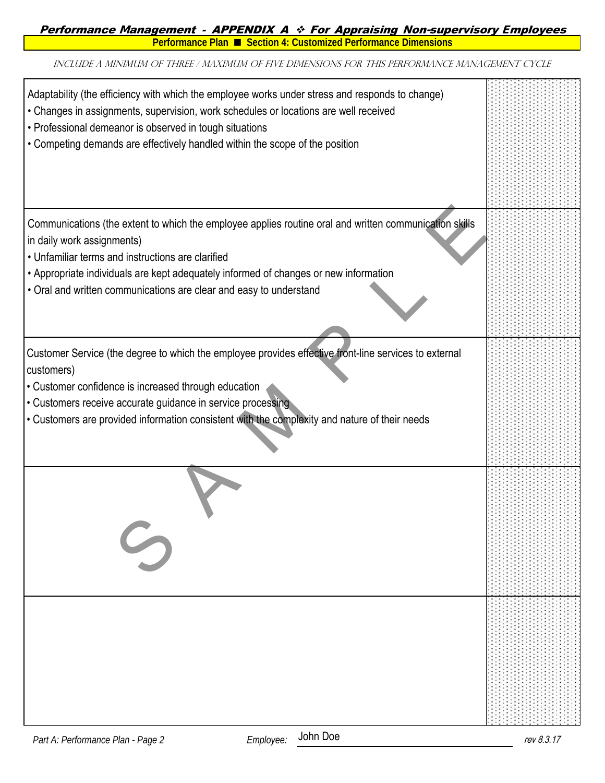#### Performance Management - APPENDIX A  $\cdot$  For Appraising Non-supervisory Employees **Performance Plan ■ Section 4: Customized Performance Dimensions**

Include a minimum of three / maximum of five dimensions for this Performance Management cycle

| Adaptability (the efficiency with which the employee works under stress and responds to change)<br>• Changes in assignments, supervision, work schedules or locations are well received<br>• Professional demeanor is observed in tough situations<br>• Competing demands are effectively handled within the scope of the position                      |  |
|---------------------------------------------------------------------------------------------------------------------------------------------------------------------------------------------------------------------------------------------------------------------------------------------------------------------------------------------------------|--|
| Communications (the extent to which the employee applies routine oral and written communication skills<br>in daily work assignments)<br>• Unfamiliar terms and instructions are clarified<br>• Appropriate individuals are kept adequately informed of changes or new information<br>• Oral and written communications are clear and easy to understand |  |
| Customer Service (the degree to which the employee provides effective front-line services to external<br>customers)<br>• Customer confidence is increased through education<br>• Customers receive accurate guidance in service processing<br>• Customers are provided information consistent with the complexity and nature of their needs             |  |
|                                                                                                                                                                                                                                                                                                                                                         |  |
|                                                                                                                                                                                                                                                                                                                                                         |  |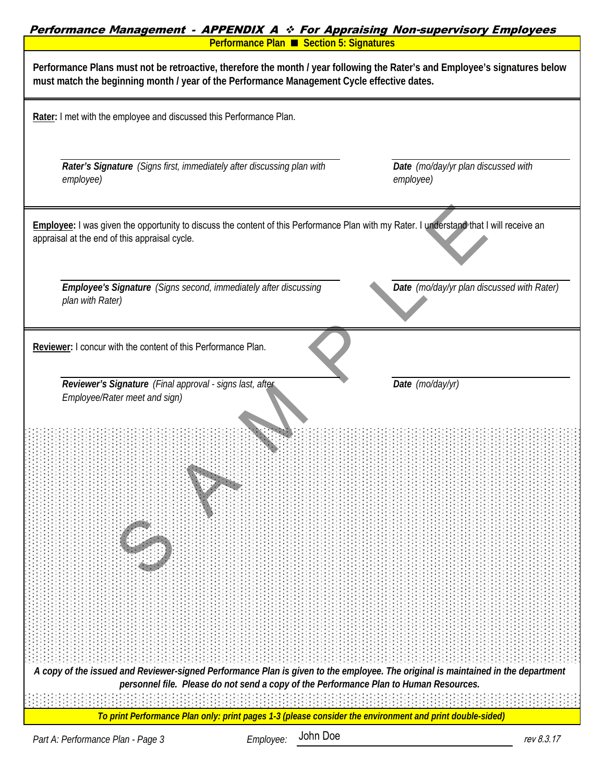| Performance Management - APPENDIX A $\div$ For Appraising Non-supervisory Employees<br><b>Performance Plan ■ Section 5: Signatures</b>                                                                                    |                                                  |
|---------------------------------------------------------------------------------------------------------------------------------------------------------------------------------------------------------------------------|--------------------------------------------------|
| Performance Plans must not be retroactive, therefore the month / year following the Rater's and Employee's signatures below<br>must match the beginning month / year of the Performance Management Cycle effective dates. |                                                  |
| Rater: I met with the employee and discussed this Performance Plan.                                                                                                                                                       |                                                  |
| Rater's Signature (Signs first, immediately after discussing plan with<br>employee)                                                                                                                                       | Date (mo/day/yr plan discussed with<br>employee) |
| Employee: I was given the opportunity to discuss the content of this Performance Plan with my Rater. I understand that I will receive an<br>appraisal at the end of this appraisal cycle.                                 |                                                  |
| Employee's Signature (Signs second, immediately after discussing<br>plan with Rater)                                                                                                                                      | Date (mo/day/yr plan discussed with Rater)       |
| Reviewer: I concur with the content of this Performance Plan.                                                                                                                                                             |                                                  |
| Reviewer's Signature (Final approval - signs last, after<br>Employee/Rater meet and sign)                                                                                                                                 | Date (mo/day/yr)                                 |
| A copy of the issued and Reviewer-signed Performance Plan is given to the employee. The original is maintained in the department<br>personnel file. Please do not send a copy of the Performance Plan to Human Resources. |                                                  |
| To print Performance Plan only: print pages 1-3 (please consider the environment and print double-sided)                                                                                                                  |                                                  |

*Employee:* John Doe *rev 8.3.17* John Doe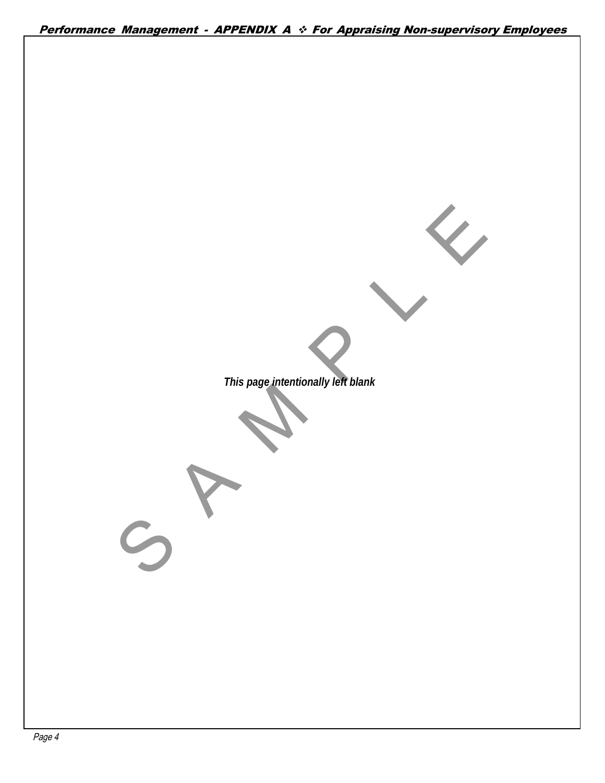Performance Management - APPENDIX A  $\div$  For Appraising Non-supervisory Employees

*This page intentionally left blank* This page intentionally left blank<br>This page intentionally left blank<br>Samples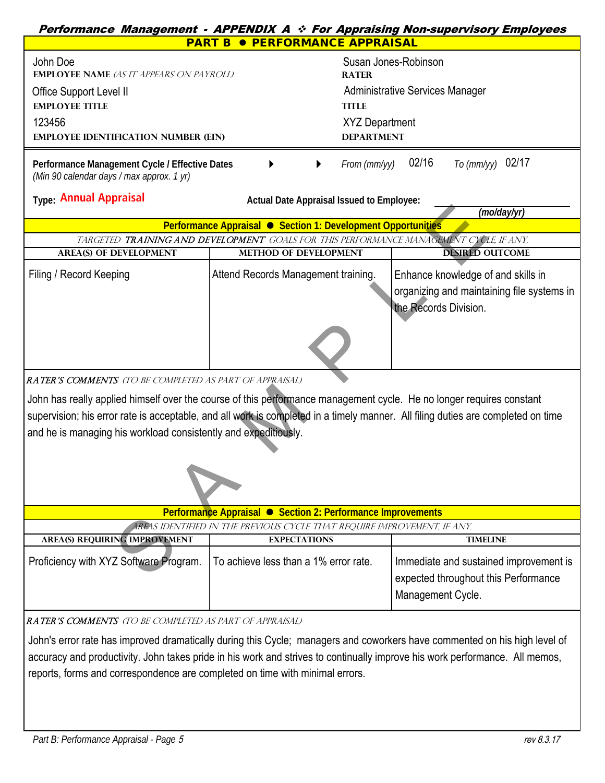# Performance Management - APPENDIX A  $\dot{\gamma}$  For Appraising Non-supervisory Employees **Rater Title Department**  $\blacktriangleright$   $\blacktriangleright$ **Type: Annual Appraisal DESIRED OUTCOME PART B · PERFORMANCE APPRAISAL Performance Management Cycle / Effective Dates**  Targeted training and development goals for this Performance Management Cycle, if any. Areas identified in the previous Cycle that require improvement, if any. **Performance Appraisal ● Section 1: Development Opportunities AREA(S) OF DEVELOPMENT employee identification number (ein) EMPLOYEE TITLE** *From (mm/yy) To (mm/yy)* **Employee Name** (as it appears on payroll) *(Min 90 calendar days / max approx. 1 yr)* **METHOD OF DEVELOPMENT Actual Date Appraisal Issued to Employee: EXPECTATIONS** *(mo/day/yr)* **Performance Appraisal ● Section 2: Performance Improvements AREA(S) REQUIRING IMPROVEMENT EXPECTATIONS TIMELINE** RATER'S COMMENTS (TO BE COMPLETED AS PART OF APPRAISAL) **Performance Appraisal •** Section 1: Development Opportunities<br>
D TRAINING AND DEVELOPMENT COALS FOR THIS PERFORMANCE MANAGEMENT CYCLE INTERED OUT<br>
DEVELOPMENT<br>
DEVELOPMENT<br>
DEVELOPMENT<br>
SIGNATION CONFIETED AS PART OF APPR John Doe Susan Jones-Robinson Office Support Level II Administrative Services Manager 123456 XYZ Department<br>
EMPLOYEE IDENTIFICATION NUMBER (EIN) DEPARTMENT<br>
Performance Management Cycle / Effective Dates  $\rightarrow$  From (mm/yy) 02/16 To (mm/yy) 02/17 John has really applied himself over the course of this performance management cycle. He no longer requires constant supervision; his error rate is acceptable, and all work is completed in a timely manner. All filing duties are completed on time and he is managing his workload consistently and expeditiously. Filing / Record Keeping **Attend Records Management training.** | Enhance knowledge of and skills in organizing and maintaining file systems in the Records Division. Proficiency with XYZ Software Program. | To achieve less than a 1% error rate. | Immediate and sustained improvement is expected throughout this Performance Management Cycle.

## RATER'S COMMENTS (TO BE COMPLETED AS PART OF APPRAISAL)

John's error rate has improved dramatically during this Cycle; managers and coworkers have commented on his high level of accuracy and productivity. John takes pride in his work and strives to continually improve his work performance. All memos, reports, forms and correspondence are completed on time with minimal errors.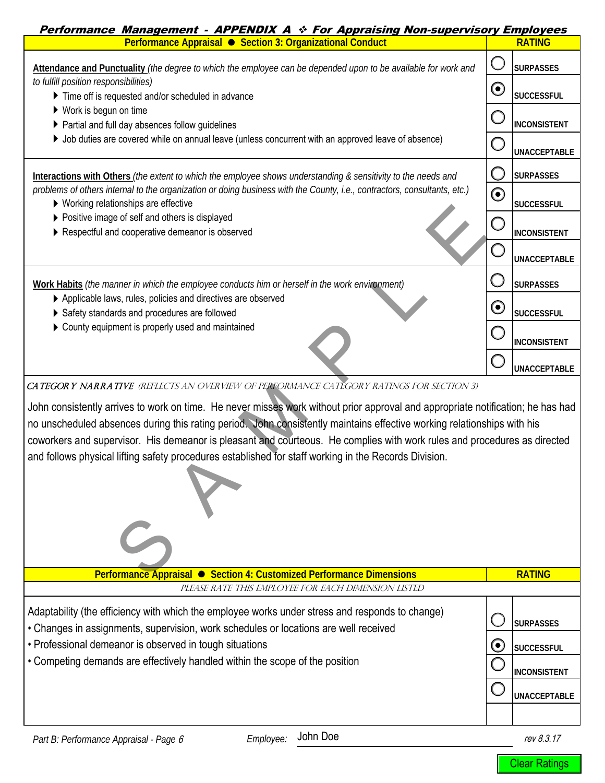| <b>Performance Management - APPENDIX A <math>\cdot \cdot</math> For Appraising Non-supervisory Employees</b>                                                                                                                                                                                                                                                                                                                                                                                                                                                |                                               |                     |
|-------------------------------------------------------------------------------------------------------------------------------------------------------------------------------------------------------------------------------------------------------------------------------------------------------------------------------------------------------------------------------------------------------------------------------------------------------------------------------------------------------------------------------------------------------------|-----------------------------------------------|---------------------|
| <b>Performance Appraisal ● Section 3: Organizational Conduct</b>                                                                                                                                                                                                                                                                                                                                                                                                                                                                                            |                                               | <b>RATING</b>       |
| Attendance and Punctuality (the degree to which the employee can be depended upon to be available for work and<br>to fulfill position responsibilities)<br>Time off is requested and/or scheduled in advance<br>$\blacktriangleright$ Work is begun on time<br>▶ Partial and full day absences follow guidelines<br>> Job duties are covered while on annual leave (unless concurrent with an approved leave of absence)                                                                                                                                    |                                               | <b>SURPASSES</b>    |
|                                                                                                                                                                                                                                                                                                                                                                                                                                                                                                                                                             |                                               | <b>SUCCESSFUL</b>   |
|                                                                                                                                                                                                                                                                                                                                                                                                                                                                                                                                                             |                                               | <b>INCONSISTENT</b> |
|                                                                                                                                                                                                                                                                                                                                                                                                                                                                                                                                                             |                                               | <b>UNACCEPTABLE</b> |
| Interactions with Others (the extent to which the employee shows understanding & sensitivity to the needs and<br>problems of others internal to the organization or doing business with the County, i.e., contractors, consultants, etc.)<br>▶ Working relationships are effective<br>▶ Positive image of self and others is displayed<br>Respectful and cooperative demeanor is observed<br>Work Habits (the manner in which the employee conducts him or herself in the work environment)<br>Applicable laws, rules, policies and directives are observed |                                               | <b>SURPASSES</b>    |
|                                                                                                                                                                                                                                                                                                                                                                                                                                                                                                                                                             |                                               | <b>SUCCESSFUL</b>   |
|                                                                                                                                                                                                                                                                                                                                                                                                                                                                                                                                                             |                                               |                     |
|                                                                                                                                                                                                                                                                                                                                                                                                                                                                                                                                                             |                                               | <b>INCONSISTENT</b> |
|                                                                                                                                                                                                                                                                                                                                                                                                                                                                                                                                                             |                                               | <b>UNACCEPTABLE</b> |
|                                                                                                                                                                                                                                                                                                                                                                                                                                                                                                                                                             |                                               | <b>SURPASSES</b>    |
| Safety standards and procedures are followed<br>▶ County equipment is properly used and maintained                                                                                                                                                                                                                                                                                                                                                                                                                                                          | $\boldsymbol{\Theta}$                         | <b>SUCCESSFUL</b>   |
|                                                                                                                                                                                                                                                                                                                                                                                                                                                                                                                                                             | $\left( \begin{array}{c} \end{array} \right)$ | <b>INCONSISTENT</b> |
|                                                                                                                                                                                                                                                                                                                                                                                                                                                                                                                                                             |                                               | <b>UNACCEPTABLE</b> |
| <b>CATEGORY NARRATIVE</b> (REFLECTS AN OVERVIEW OF PERFORMANCE CATEGORY RATINGS FOR SECTION 3)                                                                                                                                                                                                                                                                                                                                                                                                                                                              |                                               |                     |
| John consistently arrives to work on time. He never misses work without prior approval and appropriate notification; he has had<br>no unscheduled absences during this rating period. John consistently maintains effective working relationships with his<br>coworkers and supervisor. His demeanor is pleasant and courteous. He complies with work rules and procedures as directed<br>and follows physical lifting safety procedures established for staff working in the Records Division.                                                             |                                               |                     |
| Performance Appraisal ● Section 4: Customized Performance Dimensions                                                                                                                                                                                                                                                                                                                                                                                                                                                                                        |                                               | <b>RATING</b>       |
| PLEASE RATE THIS EMPLOYEE FOR EACH DIMENSION LISTED                                                                                                                                                                                                                                                                                                                                                                                                                                                                                                         |                                               |                     |
| Adaptability (the efficiency with which the employee works under stress and responds to change)<br>• Changes in assignments, supervision, work schedules or locations are well received                                                                                                                                                                                                                                                                                                                                                                     |                                               | <b>SURPASSES</b>    |
|                                                                                                                                                                                                                                                                                                                                                                                                                                                                                                                                                             | $\hat{\mathbf{e}}$                            |                     |
| • Professional demeanor is observed in tough situations<br>• Competing demands are effectively handled within the scope of the position                                                                                                                                                                                                                                                                                                                                                                                                                     |                                               | <b>SUCCESSFUL</b>   |
|                                                                                                                                                                                                                                                                                                                                                                                                                                                                                                                                                             |                                               | <b>INCONSISTENT</b> |
|                                                                                                                                                                                                                                                                                                                                                                                                                                                                                                                                                             |                                               | <b>UNACCEPTABLE</b> |
|                                                                                                                                                                                                                                                                                                                                                                                                                                                                                                                                                             |                                               |                     |

Clear Ratings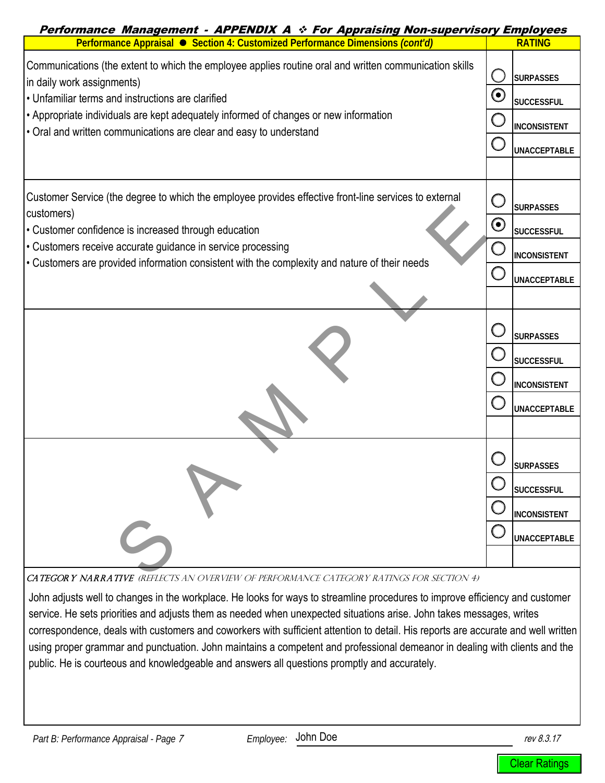| <b>Performance Management - APPENDIX A ☆ For Appraising Non-supervisory Employees</b>                                                                        |                      |                     |
|--------------------------------------------------------------------------------------------------------------------------------------------------------------|----------------------|---------------------|
| Performance Appraisal ● Section 4: Customized Performance Dimensions (cont'd)                                                                                |                      | <b>RATING</b>       |
| Communications (the extent to which the employee applies routine oral and written communication skills<br>in daily work assignments)                         |                      | <b>SURPASSES</b>    |
| Unfamiliar terms and instructions are clarified                                                                                                              | $\boldsymbol{\odot}$ | <b>SUCCESSFUL</b>   |
| • Appropriate individuals are kept adequately informed of changes or new information<br>• Oral and written communications are clear and easy to understand   |                      | <b>INCONSISTENT</b> |
|                                                                                                                                                              |                      | <b>UNACCEPTABLE</b> |
|                                                                                                                                                              |                      |                     |
| Customer Service (the degree to which the employee provides effective front-line services to external<br>customers)                                          |                      | <b>SURPASSES</b>    |
| • Customer confidence is increased through education                                                                                                         | $\boldsymbol{\odot}$ | <b>SUCCESSFUL</b>   |
| • Customers receive accurate guidance in service processing<br>• Customers are provided information consistent with the complexity and nature of their needs |                      | <b>INCONSISTENT</b> |
|                                                                                                                                                              |                      | <b>UNACCEPTABLE</b> |
|                                                                                                                                                              |                      |                     |
|                                                                                                                                                              |                      | <b>SURPASSES</b>    |
|                                                                                                                                                              |                      | <b>SUCCESSFUL</b>   |
|                                                                                                                                                              |                      | <b>INCONSISTENT</b> |
|                                                                                                                                                              |                      | <b>UNACCEPTABLE</b> |
|                                                                                                                                                              |                      |                     |
|                                                                                                                                                              |                      | <b>SURPASSES</b>    |
|                                                                                                                                                              |                      | <b>SUCCESSFUL</b>   |
|                                                                                                                                                              |                      | <b>INCONSISTENT</b> |
|                                                                                                                                                              |                      | <b>UNACCEPTABLE</b> |
| CATECORY NARRATIVE (REELECTS AN OVERVIEW OF PERFORMANCE CATECORY RATINGS FOR SECTION A)                                                                      |                      |                     |

#### CATEGORY NARRATIVE (REFLECTS AN OVERVIEW OF PERFORMANCE CATEGORY RATINGS FOR SECTION 4)

John adjusts well to changes in the workplace. He looks for ways to streamline procedures to improve efficiency and customer service. He sets priorities and adjusts them as needed when unexpected situations arise. John takes messages, writes correspondence, deals with customers and coworkers with sufficient attention to detail. His reports are accurate and well written using proper grammar and punctuation. John maintains a competent and professional demeanor in dealing with clients and the public. He is courteous and knowledgeable and answers all questions promptly and accurately.